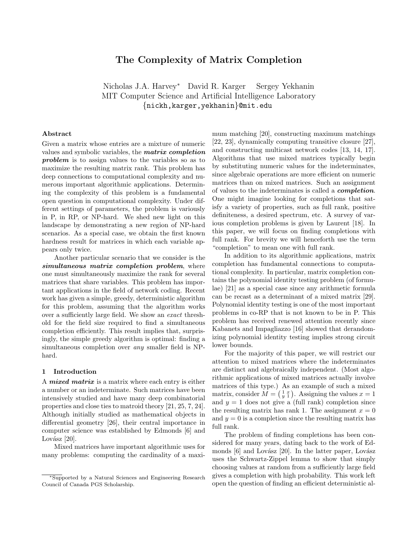# The Complexity of Matrix Completion

Nicholas J.A. Harvey<sup>∗</sup> David R. Karger Sergey Yekhanin MIT Computer Science and Artificial Intelligence Laboratory {nickh,karger,yekhanin}@mit.edu

# Abstract

Given a matrix whose entries are a mixture of numeric values and symbolic variables, the matrix completion problem is to assign values to the variables so as to maximize the resulting matrix rank. This problem has deep connections to computational complexity and numerous important algorithmic applications. Determining the complexity of this problem is a fundamental open question in computational complexity. Under different settings of parameters, the problem is variously in P, in RP, or NP-hard. We shed new light on this landscape by demonstrating a new region of NP-hard scenarios. As a special case, we obtain the first known hardness result for matrices in which each variable appears only twice.

Another particular scenario that we consider is the simultaneous matrix completion problem, where one must simultaneously maximize the rank for several matrices that share variables. This problem has important applications in the field of network coding. Recent work has given a simple, greedy, deterministic algorithm for this problem, assuming that the algorithm works over a sufficiently large field. We show an exact threshold for the field size required to find a simultaneous completion efficiently. This result implies that, surprisingly, the simple greedy algorithm is optimal: finding a simultaneous completion over any smaller field is NPhard.

# 1 Introduction

A mixed matrix is a matrix where each entry is either a number or an indeterminate. Such matrices have been intensively studied and have many deep combinatorial properties and close ties to matroid theory [21, 25, 7, 24]. Although initially studied as mathematical objects in differential geometry [26], their central importance in computer science was established by Edmonds [6] and Lovász  $[20]$ .

Mixed matrices have important algorithmic uses for many problems: computing the cardinality of a maxi-

mum matching [20], constructing maximum matchings [22, 23], dynamically computing transitive closure [27], and constructing multicast network codes [13, 14, 17]. Algorithms that use mixed matrices typically begin by substituting numeric values for the indeterminates, since algebraic operations are more efficient on numeric matrices than on mixed matrices. Such an assignment of values to the indeterminates is called a completion. One might imagine looking for completions that satisfy a variety of properties, such as full rank, positive definiteness, a desired spectrum, etc. A survey of various completion problems is given by Laurent [18]. In this paper, we will focus on finding completions with full rank. For brevity we will henceforth use the term "completion" to mean one with full rank.

In addition to its algorithmic applications, matrix completion has fundamental connections to computational complexity. In particular, matrix completion contains the polynomial identity testing problem (of formulae) [21] as a special case since any arithmetic formula can be recast as a determinant of a mixed matrix [29]. Polynomial identity testing is one of the most important problems in co-RP that is not known to be in P. This problem has received renewed attention recently since Kabanets and Impagliazzo [16] showed that derandomizing polynomial identity testing implies strong circuit lower bounds.

For the majority of this paper, we will restrict our attention to mixed matrices where the indeterminates are distinct and algebraically independent. (Most algorithmic applications of mixed matrices actually involve matrices of this type.) As an example of such a mixed matrix, consider  $M = \begin{pmatrix} 1 & x \\ y & 1 \end{pmatrix}$ . Assigning the values  $x = 1$ and  $y = 1$  does not give a (full rank) completion since the resulting matrix has rank 1. The assignment  $x = 0$ and  $y = 0$  is a completion since the resulting matrix has full rank.

The problem of finding completions has been considered for many years, dating back to the work of Edmonds  $[6]$  and Lovász  $[20]$ . In the latter paper, Lovász uses the Schwartz-Zippel lemma to show that simply choosing values at random from a sufficiently large field gives a completion with high probability. This work left open the question of finding an efficient deterministic al-

<sup>∗</sup>Supported by a Natural Sciences and Engineering Research Council of Canada PGS Scholarship.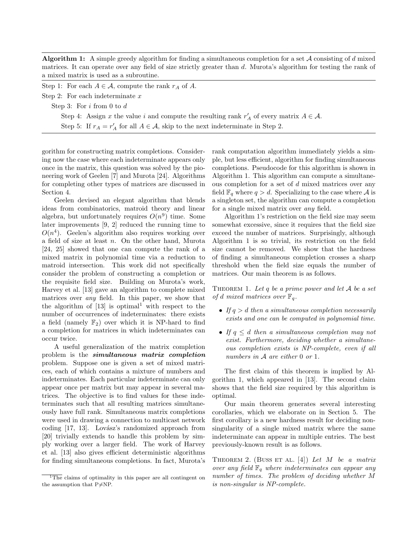**Algorithm 1:** A simple greedy algorithm for finding a simultaneous completion for a set A consisting of d mixed matrices. It can operate over any field of size strictly greater than d. Murota's algorithm for testing the rank of a mixed matrix is used as a subroutine.

Step 1: For each  $A \in \mathcal{A}$ , compute the rank  $r_A$  of A.

Step 2: For each indeterminate  $x$ 

Step 3: For i from 0 to d

Step 4: Assign x the value i and compute the resulting rank  $r'_A$  of every matrix  $A \in \mathcal{A}$ .

Step 5: If  $r_A = r'_A$  for all  $A \in \mathcal{A}$ , skip to the next indeterminate in Step 2.

gorithm for constructing matrix completions. Considering now the case where each indeterminate appears only once in the matrix, this question was solved by the pioneering work of Geelen [7] and Murota [24]. Algorithms for completing other types of matrices are discussed in Section 4.

Geelen devised an elegant algorithm that blends ideas from combinatorics, matroid theory and linear algebra, but unfortunately requires  $O(n^9)$  time. Some later improvements [9, 2] reduced the running time to  $O(n<sup>4</sup>)$ . Geelen's algorithm also requires working over a field of size at least n. On the other hand, Murota [24, 25] showed that one can compute the rank of a mixed matrix in polynomial time via a reduction to matroid intersection. This work did not specifically consider the problem of constructing a completion or the requisite field size. Building on Murota's work, Harvey et al. [13] gave an algorithm to complete mixed matrices over any field. In this paper, we show that the algorithm of  $[13]$  is optimal<sup>1</sup> with respect to the number of occurrences of indeterminates: there exists a field (namely  $\mathbb{F}_2$ ) over which it is NP-hard to find a completion for matrices in which indeterminates can occur twice.

A useful generalization of the matrix completion problem is the simultaneous matrix completion problem. Suppose one is given a set of mixed matrices, each of which contains a mixture of numbers and indeterminates. Each particular indeterminate can only appear once per matrix but may appear in several matrices. The objective is to find values for these indeterminates such that all resulting matrices simultaneously have full rank. Simultaneous matrix completions were used in drawing a connection to multicast network  $\text{coding } [17, 13]$ . Lovász's randomized approach from [20] trivially extends to handle this problem by simply working over a larger field. The work of Harvey et al. [13] also gives efficient deterministic algorithms for finding simultaneous completions. In fact, Murota's rank computation algorithm immediately yields a simple, but less efficient, algorithm for finding simultaneous completions. Pseudocode for this algorithm is shown in Algorithm 1. This algorithm can compute a simultaneous completion for a set of d mixed matrices over any field  $\mathbb{F}_q$  where  $q > d$ . Specializing to the case where A is a singleton set, the algorithm can compute a completion for a single mixed matrix over any field.

Algorithm 1's restriction on the field size may seem somewhat excessive, since it requires that the field size exceed the number of matrices. Surprisingly, although Algorithm 1 is so trivial, its restriction on the field size cannot be removed. We show that the hardness of finding a simultaneous completion crosses a sharp threshold when the field size equals the number of matrices. Our main theorem is as follows.

THEOREM 1. Let  $q$  be a prime power and let  $A$  be a set of d mixed matrices over  $\mathbb{F}_q$ .

- If  $q > d$  then a simultaneous completion necessarily exists and one can be computed in polynomial time.
- If  $q \leq d$  then a simultaneous completion may not exist. Furthermore, deciding whether a simultaneous completion exists is NP-complete, even if all numbers in  $A$  are either 0 or 1.

The first claim of this theorem is implied by Algorithm 1, which appeared in [13]. The second claim shows that the field size required by this algorithm is optimal.

Our main theorem generates several interesting corollaries, which we elaborate on in Section 5. The first corollary is a new hardness result for deciding nonsingularity of a single mixed matrix where the same indeterminate can appear in multiple entries. The best previously-known result is as follows.

THEOREM 2. (BUSS ET AL. [4]) Let M be a matrix over any field  $\mathbb{F}_q$  where indeterminates can appear any number of times. The problem of deciding whether M is non-singular is NP-complete.

<sup>&</sup>lt;sup>1</sup>The claims of optimality in this paper are all contingent on the assumption that  $P\neq NP$ .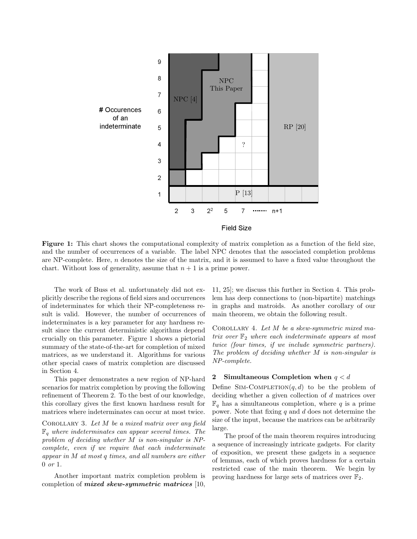



Figure 1: This chart shows the computational complexity of matrix completion as a function of the field size, and the number of occurrences of a variable. The label NPC denotes that the associated completion problems are NP-complete. Here, n denotes the size of the matrix, and it is assumed to have a fixed value throughout the chart. Without loss of generality, assume that  $n + 1$  is a prime power.

The work of Buss et al. unfortunately did not explicitly describe the regions of field sizes and occurrences of indeterminates for which their NP-completeness result is valid. However, the number of occurrences of indeterminates is a key parameter for any hardness result since the current deterministic algorithms depend crucially on this parameter. Figure 1 shows a pictorial summary of the state-of-the-art for completion of mixed matrices, as we understand it. Algorithms for various other special cases of matrix completion are discussed in Section 4.

This paper demonstrates a new region of NP-hard scenarios for matrix completion by proving the following refinement of Theorem 2. To the best of our knowledge, this corollary gives the first known hardness result for matrices where indeterminates can occur at most twice.

COROLLARY 3. Let  $M$  be a mixed matrix over any field  $\mathbb{F}_q$  where indeterminates can appear several times. The problem of deciding whether M is non-singular is NPcomplete, even if we require that each indeterminate appear in M at most q times, and all numbers are either 0 or 1.

Another important matrix completion problem is completion of mixed skew-symmetric matrices [10,

11, 25]; we discuss this further in Section 4. This problem has deep connections to (non-bipartite) matchings in graphs and matroids. As another corollary of our main theorem, we obtain the following result.

COROLLARY 4. Let  $M$  be a skew-symmetric mixed matrix over  $\mathbb{F}_2$  where each indeterminate appears at most twice (four times, if we include symmetric partners). The problem of deciding whether M is non-singular is NP-complete.

# 2 Simultaneous Completion when  $q < d$

Define SIM-COMPLETION $(q, d)$  to be the problem of deciding whether a given collection of d matrices over  $\mathbb{F}_q$  has a simultaneous completion, where q is a prime power. Note that fixing  $q$  and  $d$  does not determine the size of the input, because the matrices can be arbitrarily large.

The proof of the main theorem requires introducing a sequence of increasingly intricate gadgets. For clarity of exposition, we present these gadgets in a sequence of lemmas, each of which proves hardness for a certain restricted case of the main theorem. We begin by proving hardness for large sets of matrices over  $\mathbb{F}_2$ .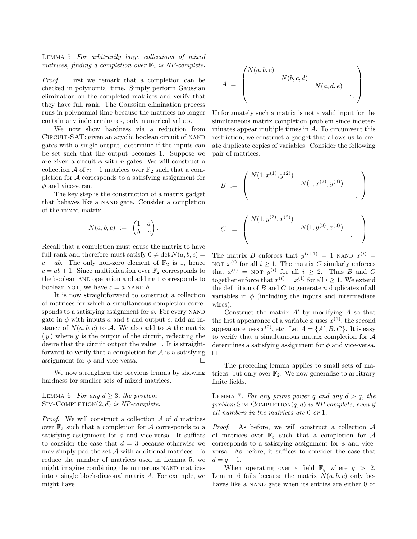Lemma 5. For arbitrarily large collections of mixed matrices, finding a completion over  $\mathbb{F}_2$  is NP-complete.

Proof. First we remark that a completion can be checked in polynomial time. Simply perform Gaussian elimination on the completed matrices and verify that they have full rank. The Gaussian elimination process runs in polynomial time because the matrices no longer contain any indeterminates, only numerical values.

We now show hardness via a reduction from CIRCUIT-SAT: given an acyclic boolean circuit of NAND gates with a single output, determine if the inputs can be set such that the output becomes 1. Suppose we are given a circuit  $\phi$  with n gates. We will construct a collection A of  $n+1$  matrices over  $\mathbb{F}_2$  such that a completion for  $A$  corresponds to a satisfying assignment for  $\phi$  and vice-versa.

The key step is the construction of a matrix gadget that behaves like a NAND gate. Consider a completion of the mixed matrix

$$
N(a,b,c) \ := \ \begin{pmatrix} 1 & a \\ b & c \end{pmatrix}.
$$

Recall that a completion must cause the matrix to have full rank and therefore must satisfy  $0 \neq \det N(a, b, c) =$  $c - ab$ . The only non-zero element of  $\mathbb{F}_2$  is 1, hence  $c = ab + 1$ . Since multiplication over  $\mathbb{F}_2$  corresponds to the boolean AND operation and adding 1 corresponds to boolean NOT, we have  $c = a$  NAND b.

It is now straightforward to construct a collection of matrices for which a simultaneous completion corresponds to a satisfying assignment for  $\phi$ . For every NAND gate in  $\phi$  with inputs a and b and output c, add an instance of  $N(a, b, c)$  to A. We also add to A the matrix  $(y)$  where y is the output of the circuit, reflecting the desire that the circuit output the value 1. It is straightforward to verify that a completion for  $A$  is a satisfying assignment for  $\phi$  and vice-versa.

We now strengthen the previous lemma by showing hardness for smaller sets of mixed matrices.

LEMMA 6. For any  $d \geq 3$ , the problem SIM-COMPLETION $(2, d)$  is NP-complete.

*Proof.* We will construct a collection  $A$  of  $d$  matrices over  $\mathbb{F}_2$  such that a completion for A corresponds to a satisfying assignment for  $\phi$  and vice-versa. It suffices to consider the case that  $d = 3$  because otherwise we may simply pad the set  $A$  with additional matrices. To reduce the number of matrices used in Lemma 5, we might imagine combining the numerous NAND matrices into a single block-diagonal matrix A. For example, we might have

$$
A = \begin{pmatrix} N(a,b,c) & & \\ & N(b,c,d) & \\ & & N(a,d,e) & \\ & & & \ddots \end{pmatrix}.
$$

Unfortunately such a matrix is not a valid input for the simultaneous matrix completion problem since indeterminates appear multiple times in  $A$ . To circumvent this restriction, we construct a gadget that allows us to create duplicate copies of variables. Consider the following pair of matrices.

$$
B := \begin{pmatrix} N(1, x^{(1)}, y^{(2)}) & & & \\ & N(1, x^{(2)}, y^{(3)}) & & \\ & & \ddots & \\ & & & \ddots \end{pmatrix}
$$
  

$$
C := \begin{pmatrix} N(1, y^{(2)}, x^{(2)}) & & & \\ & N(1, y^{(3)}, x^{(3)}) & & \\ & & \ddots & \\ & & & \ddots \end{pmatrix}
$$

The matrix B enforces that  $y^{(i+1)} = 1$  NAND  $x^{(i)} =$ NOT  $x^{(i)}$  for all  $i \geq 1$ . The matrix C similarly enforces that  $x^{(i)} = \text{NOT } y^{(i)}$  for all  $i \geq 2$ . Thus B and C together enforce that  $x^{(i)} = x^{(1)}$  for all  $i \geq 1$ . We extend the definition of  $B$  and  $C$  to generate  $n$  duplicates of all variables in  $\phi$  (including the inputs and intermediate wires).

Construct the matrix  $A'$  by modifying  $A$  so that the first appearance of a variable x uses  $x^{(1)}$ , the second appearance uses  $x^{(2)}$ , etc. Let  $\mathcal{A} = \{A', B, C\}$ . It is easy to verify that a simultaneous matrix completion for  $A$ determines a satisfying assignment for  $\phi$  and vice-versa.  $\Box$ 

The preceding lemma applies to small sets of matrices, but only over  $\mathbb{F}_2$ . We now generalize to arbitrary finite fields.

LEMMA 7. For any prime power q and any  $d > q$ , the problem SIM-COMPLETION $(q, d)$  is NP-complete, even if all numbers in the matrices are 0 or 1.

*Proof.* As before, we will construct a collection  $A$ of matrices over  $\mathbb{F}_q$  such that a completion for A corresponds to a satisfying assignment for  $\phi$  and viceversa. As before, it suffices to consider the case that  $d = q + 1.$ 

When operating over a field  $\mathbb{F}_q$  where  $q > 2$ , Lemma 6 fails because the matrix  $N(a, b, c)$  only behaves like a NAND gate when its entries are either 0 or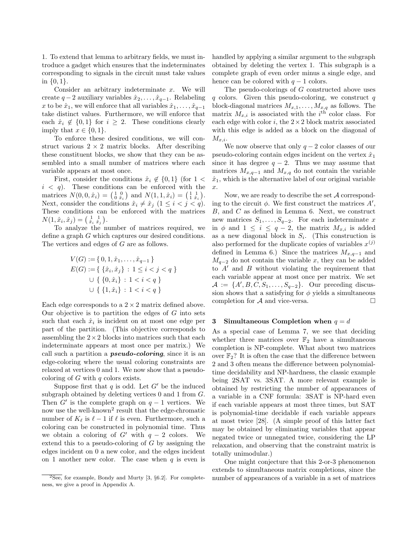1. To extend that lemma to arbitrary fields, we must introduce a gadget which ensures that the indeterminates corresponding to signals in the circuit must take values in  $\{0,1\}.$ 

Consider an arbitrary indeterminate  $x$ . We will create  $q-2$  auxiliary variables  $\hat{x}_2, \ldots, \hat{x}_{q-1}$ . Relabeling x to be  $\hat{x}_1$ , we will enforce that all variables  $\hat{x}_1, \ldots, \hat{x}_{q-1}$ take distinct values. Furthermore, we will enforce that each  $\hat{x}_i \notin \{0,1\}$  for  $i \geq 2$ . These conditions clearly imply that  $x \in \{0, 1\}.$ 

To enforce these desired conditions, we will construct various  $2 \times 2$  matrix blocks. After describing these constituent blocks, we show that they can be assembled into a small number of matrices where each variable appears at most once.

First, consider the conditions  $\hat{x}_i \notin \{0,1\}$  (for  $1 <$  $i < q$ ). These conditions can be enforced with the matrices  $N(0, 0, \hat{x}_i) = \begin{pmatrix} 1 & 0 \\ 0 & \hat{x}_i \end{pmatrix}$  and  $N(1, 1, \hat{x}_i) = \begin{pmatrix} 1 & 1 \\ 1 & \hat{x}_i \end{pmatrix}$ . Next, consider the conditions  $\hat{x}_i \neq \hat{x}_j \ (1 \leq i < j < q)$ . These conditions can be enforced with the matrices  $N(1, \hat{x}_i, \hat{x}_j) = \begin{pmatrix} 1 & 1 \\ \hat{x}_i & \hat{x}_j \end{pmatrix}$ .

To analyze the number of matrices required, we define a graph G which captures our desired conditions. The vertices and edges of G are as follows.

$$
V(G) := \{ 0, 1, \hat{x}_1, \dots, \hat{x}_{q-1} \}
$$
  
\n
$$
E(G) := \{ \{\hat{x}_i, \hat{x}_j\} : 1 \le i < j < q \}
$$
  
\n
$$
\cup \{ \{0, \hat{x}_i\} : 1 < i < q \}
$$
  
\n
$$
\cup \{ \{1, \hat{x}_i\} : 1 < i < q \}
$$

Each edge corresponds to a  $2 \times 2$  matrix defined above. Our objective is to partition the edges of  $G$  into sets such that each  $\hat{x}_i$  is incident on at most one edge per part of the partition. (This objective corresponds to assembling the  $2 \times 2$  blocks into matrices such that each indeterminate appears at most once per matrix.) We call such a partition a **pseudo-coloring**, since it is an edge-coloring where the usual coloring constraints are relaxed at vertices 0 and 1. We now show that a pseudocoloring of  $G$  with  $q$  colors exists.

Suppose first that q is odd. Let  $G'$  be the induced subgraph obtained by deleting vertices 0 and 1 from G. Then  $G'$  is the complete graph on  $q-1$  vertices. We now use the well-known<sup>2</sup> result that the edge-chromatic number of  $K_\ell$  is  $\ell$  − 1 if  $\ell$  is even. Furthermore, such a coloring can be constructed in polynomial time. Thus we obtain a coloring of  $G'$  with  $q - 2$  colors. We extend this to a pseudo-coloring of  $G$  by assigning the edges incident on 0 a new color, and the edges incident on 1 another new color. The case when  $q$  is even is

handled by applying a similar argument to the subgraph obtained by deleting the vertex 1. This subgraph is a complete graph of even order minus a single edge, and hence can be colored with  $q - 1$  colors.

The pseudo-colorings of G constructed above uses  $q$  colors. Given this pseudo-coloring, we construct  $q$ block-diagonal matrices  $M_{x,1}, \ldots, M_{x,q}$  as follows. The matrix  $M_{x,i}$  is associated with the i<sup>th</sup> color class. For each edge with color  $i$ , the  $2 \times 2$  block matrix associated with this edge is added as a block on the diagonal of  $M_{x,i}.$ 

We now observe that only  $q-2$  color classes of our pseudo-coloring contain edges incident on the vertex  $\hat{x}_1$ since it has degree  $q - 2$ . Thus we may assume that matrices  $M_{x,q-1}$  and  $M_{x,q}$  do not contain the variable  $\hat{x}_1$ , which is the alternative label of our original variable x.

Now, we are ready to describe the set A corresponding to the circuit  $\phi$ . We first construct the matrices  $A'$ , B, and C as defined in Lemma 6. Next, we construct new matrices  $S_1, \ldots, S_{q-2}$ . For each indeterminate x in  $\phi$  and  $1 \leq i \leq q-2$ , the matrix  $M_{x,i}$  is added as a new diagonal block in  $S_i$ . (This construction is also performed for the duplicate copies of variables  $x^{(j)}$ defined in Lemma 6.) Since the matrices  $M_{x,q-1}$  and  $M_{q-2}$  do not contain the variable x, they can be added to  $A'$  and  $B$  without violating the requirement that each variable appear at most once per matrix. We set  $\mathcal{A} := \{A', B, \tilde{C}, S_1, \ldots, S_{q-2}\}.$  Our preceding discussion shows that a satisfying for  $\phi$  yields a simultaneous completion for  $A$  and vice-versa.  $\Box$ 

# 3 Simultaneous Completion when  $q = d$

As a special case of Lemma 7, we see that deciding whether three matrices over  $\mathbb{F}_2$  have a simultaneous completion is NP-complete. What about two matrices over  $\mathbb{F}_2$ ? It is often the case that the difference between 2 and 3 often means the difference between polynomialtime decidability and NP-hardness, the classic example being 2SAT vs. 3SAT. A more relevant example is obtained by restricting the number of appearances of a variable in a CNF formula: 3SAT is NP-hard even if each variable appears at most three times, but SAT is polynomial-time decidable if each variable appears at most twice [28]. (A simple proof of this latter fact may be obtained by eliminating variables that appear negated twice or unnegated twice, considering the LP relaxation, and observing that the constraint matrix is totally unimodular.)

One might conjecture that this 2-or-3 phenomenon extends to simultaneous matrix completions, since the number of appearances of a variable in a set of matrices

 $2\text{See}$ , for example, Bondy and Murty [3, §6.2]. For completeness, we give a proof in Appendix A.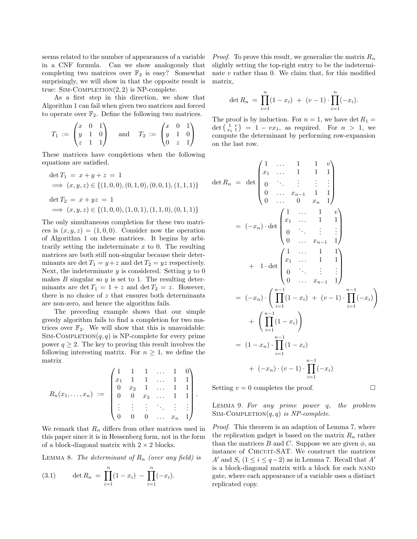seems related to the number of appearances of a variable in a CNF formula. Can we show analogously that completing two matrices over  $\mathbb{F}_2$  is easy? Somewhat surprisingly, we will show in that the opposite result is true:  $Sim-COMPLEITION(2, 2)$  is NP-complete.

As a first step in this direction, we show that Algorithm 1 can fail when given two matrices and forced to operate over  $\mathbb{F}_2$ . Define the following two matrices.

$$
T_1 := \begin{pmatrix} x & 0 & 1 \\ y & 1 & 0 \\ z & 1 & 1 \end{pmatrix} \quad \text{and} \quad T_2 := \begin{pmatrix} x & 0 & 1 \\ y & 1 & 0 \\ 0 & z & 1 \end{pmatrix}
$$

These matrices have completions when the following equations are satisfied.

$$
\begin{aligned}\n\det T_1 &= x + y + z = 1 \\
&\implies (x, y, z) \in \{ (1, 0, 0), (0, 1, 0), (0, 0, 1), (1, 1, 1) \} \\
\det T_2 &= x + yz = 1 \\
&\implies (x, y, z) \in \{ (1, 0, 0), (1, 0, 1), (1, 1, 0), (0, 1, 1) \}\n\end{aligned}
$$

The only simultaneous completion for these two matrices is  $(x, y, z) = (1, 0, 0)$ . Consider now the operation of Algorithm 1 on these matrices. It begins by arbitrarily setting the indeterminate  $x$  to 0. The resulting matrices are both still non-singular because their determinants are det  $T_1 = y + z$  and det  $T_2 = yz$  respectively. Next, the indeterminate  $y$  is considered. Setting  $y$  to 0 makes  $B$  singular so  $y$  is set to 1. The resulting determinants are det  $T_1 = 1 + z$  and det  $T_2 = z$ . However, there is no choice of  $z$  that ensures both determinants are non-zero, and hence the algorithm fails.

The preceding example shows that our simple greedy algorithm fails to find a completion for two matrices over  $\mathbb{F}_2$ . We will show that this is unavoidable: SIM-COMPLETION $(q, q)$  is NP-complete for every prime power  $q \geq 2$ . The key to proving this result involves the following interesting matrix. For  $n \geq 1$ , we define the matrix

$$
R_n(x_1,\ldots,x_n) \; := \; \begin{pmatrix} 1 & 1 & 1 & \ldots & 1 & 0 \\ x_1 & 1 & 1 & \ldots & 1 & 1 \\ 0 & x_2 & 1 & \ldots & 1 & 1 \\ 0 & 0 & x_3 & \ldots & 1 & 1 \\ \vdots & \vdots & \vdots & \ddots & \vdots & \vdots \\ 0 & 0 & 0 & \ldots & x_n & 1 \end{pmatrix}.
$$

We remark that  $R_n$  differs from other matrices used in this paper since it is in Hessenberg form, not in the form of a block-diagonal matrix with  $2 \times 2$  blocks.

LEMMA 8. The determinant of  $R_n$  (over any field) is

(3.1) 
$$
\det R_n = \prod_{i=1}^n (1 - x_i) - \prod_{i=1}^n (-x_i).
$$

*Proof.* To prove this result, we generalize the matrix  $R_n$ slightly setting the top-right entry to be the indeterminate  $v$  rather than 0. We claim that, for this modified matrix,

$$
\det R_n = \prod_{i=1}^n (1 - x_i) + (v - 1) \cdot \prod_{i=1}^n (-x_i).
$$

The proof is by induction. For  $n = 1$ , we have det  $R_1 =$ det  $\begin{pmatrix} 1 & v \\ x_1 & 1 \end{pmatrix} = 1 - vx_1$ , as required. For  $n > 1$ , we compute the determinant by performing row-expansion on the last row.

$$
\det R_n = \det \begin{pmatrix} 1 & \dots & 1 & 1 & v \\ x_1 & \dots & 1 & 1 & 1 \\ 0 & \ddots & \vdots & \vdots & \vdots \\ 0 & \dots & x_{n-1} & 1 & 1 \\ 0 & \dots & 0 & x_n & 1 \end{pmatrix}
$$
  
=  $(-x_n) \cdot \det \begin{pmatrix} 1 & \dots & 1 & v \\ x_1 & \dots & 1 & 1 \\ 0 & \ddots & \vdots & \vdots \\ 0 & \dots & x_{n-1} & 1 \end{pmatrix}$   
+  $1 \cdot \det \begin{pmatrix} 1 & \dots & 1 & 1 \\ x_1 & \dots & 1 & 1 \\ 0 & \ddots & \vdots & \vdots \\ 0 & \dots & x_{n-1} & 1 \end{pmatrix}$   
=  $(-x_n) \cdot \left( \prod_{i=1}^{n-1} (1-x_i) + (v-1) \cdot \prod_{i=1}^{n-1} (-x_i) \right)$   
+  $\left( \prod_{i=1}^{n-1} (1-x_i) \right)$   
=  $(1-x_n) \cdot \prod_{i=1}^{n-1} (1-x_i)$   
+  $(-x_n) \cdot (v-1) \cdot \prod_{i=1}^{n-1} (-x_i)$ 

Setting  $v = 0$  completes the proof.

Lemma 9. For any prime power q, the problem SIM-COMPLETION $(q, q)$  is NP-complete.

Proof. This theorem is an adaption of Lemma 7, where the replication gadget is based on the matrix  $R_n$  rather than the matrices B and C. Suppose we are given  $\phi$ , and instance of CIRCUIT-SAT. We construct the matrices A' and  $S_i$  (1 ≤ i ≤ q-2) as in Lemma 7. Recall that A' is a block-diagonal matrix with a block for each nand gate, where each appearance of a variable uses a distinct replicated copy.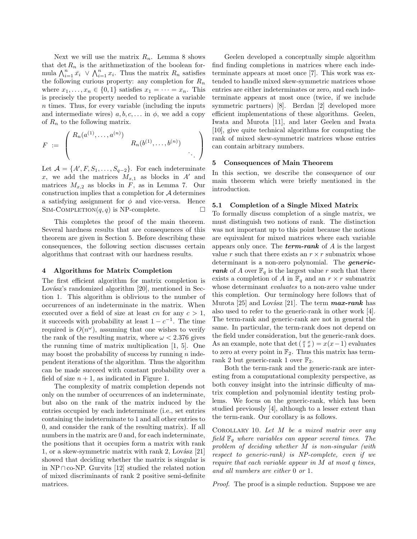Next we will use the matrix  $R_n$ . Lemma 8 shows that  $\det R_n$  is the arithmetization of the boolean formula  $\bigwedge_{i=1}^n \bar{x_i} \vee \bigwedge_{i=1}^n x_i$ . Thus the matrix  $R_n$  satisfies the following curious property: any completion for  $R_n$ where  $x_1, \ldots, x_n \in \{0, 1\}$  satisfies  $x_1 = \cdots = x_n$ . This is precisely the property needed to replicate a variable n times. Thus, for every variable (including the inputs and intermediate wires)  $a, b, c, \ldots$  in  $\phi$ , we add a copy of  $R_n$  to the following matrix.

$$
F = \left( \begin{array}{cccc} R_n(a^{(1)}, \ldots, a^{(n)}) & & \\ & R_n(b^{(1)}, \ldots, b^{(n)}) & \\ & & \ddots \end{array} \right)
$$

Let  $\mathcal{A} = \{A', F, S_1, \ldots, S_{q-2}\}.$  For each indeterminate x, we add the matrices  $M_{x,1}$  as blocks in A' and matrices  $M_{x,2}$  as blocks in F, as in Lemma 7. Our construction implies that a completion for A determines a satisfying assignment for  $\phi$  and vice-versa. Hence SIM-COMPLETION $(q, q)$  is NP-complete.

This completes the proof of the main theorem. Several hardness results that are consequences of this theorem are given in Section 5. Before describing these consequences, the following section discusses certain algorithms that contrast with our hardness results.

#### 4 Algorithms for Matrix Completion

The first efficient algorithm for matrix completion is Lovász's randomized algorithm [20], mentioned in Section 1. This algorithm is oblivious to the number of occurrences of an indeterminate in the matrix. When executed over a field of size at least cn for any  $c > 1$ , it succeeds with probability at least  $1 - c^{-1}$ . The time required is  $O(n^{\omega})$ , assuming that one wishes to verify the rank of the resulting matrix, where  $\omega < 2.376$  gives the running time of matrix multiplication [1, 5]. One may boost the probability of success by running  $n$  independent iterations of the algorithm. Thus the algorithm can be made succeed with constant probability over a field of size  $n + 1$ , as indicated in Figure 1.

The complexity of matrix completion depends not only on the number of occurrences of an indeterminate, but also on the rank of the matrix induced by the entries occupied by each indeterminate (i.e., set entries containing the indeterminate to 1 and all other entries to 0, and consider the rank of the resulting matrix). If all numbers in the matrix are 0 and, for each indeterminate, the positions that it occupies form a matrix with rank 1, or a skew-symmetric matrix with rank 2, Lovász  $[21]$ showed that deciding whether the matrix is singular is in NP∩co-NP. Gurvits [12] studied the related notion of mixed discriminants of rank 2 positive semi-definite matrices.

Geelen developed a conceptually simple algorithm find finding completions in matrices where each indeterminate appears at most once [7]. This work was extended to handle mixed skew-symmetric matrices whose entries are either indeterminates or zero, and each indeterminate appears at most once (twice, if we include symmetric partners) [8]. Berdan [2] developed more efficient implementations of these algorithms. Geelen, Iwata and Murota [11], and later Geelen and Iwata [10], give quite technical algorithms for computing the rank of mixed skew-symmetric matrices whose entries can contain arbitrary numbers.

#### 5 Consequences of Main Theorem

In this section, we describe the consequence of our main theorem which were briefly mentioned in the introduction.

# 5.1 Completion of a Single Mixed Matrix

To formally discuss completion of a single matrix, we must distinguish two notions of rank. The distinction was not important up to this point because the notions are equivalent for mixed matrices where each variable appears only once. The **term-rank** of  $A$  is the largest value r such that there exists an  $r \times r$  submatrix whose determinant is a non-zero polynomial. The *generic*rank of A over  $\mathbb{F}_q$  is the largest value r such that there exists a completion of A in  $\mathbb{F}_q$  and an  $r \times r$  submatrix whose determinant *evaluates* to a non-zero value under this completion. Our terminology here follows that of Murota [25] and Lovász [21]. The term  $max\text{-}rank$  has also used to refer to the generic-rank in other work [4]. The term-rank and generic-rank are not in general the same. In particular, the term-rank does not depend on the field under consideration, but the generic-rank does. As an example, note that det  $\left(\begin{smallmatrix} x & x \\ 1 & x \end{smallmatrix}\right) = x(x-1)$  evaluates to zero at every point in  $\mathbb{F}_2$ . Thus this matrix has termrank 2 but generic-rank 1 over  $\mathbb{F}_2$ .

Both the term-rank and the generic-rank are interesting from a computational complexity perspective, as both convey insight into the intrinsic difficulty of matrix completion and polynomial identity testing problems. We focus on the generic-rank, which has been studied previously [4], although to a lesser extent than the term-rank. Our corollary is as follows.

Corollary 10. Let M be a mixed matrix over any field  $\mathbb{F}_q$  where variables can appear several times. The problem of deciding whether M is non-singular (with respect to generic-rank) is NP-complete, even if we require that each variable appear in M at most q times, and all numbers are either 0 or 1.

Proof. The proof is a simple reduction. Suppose we are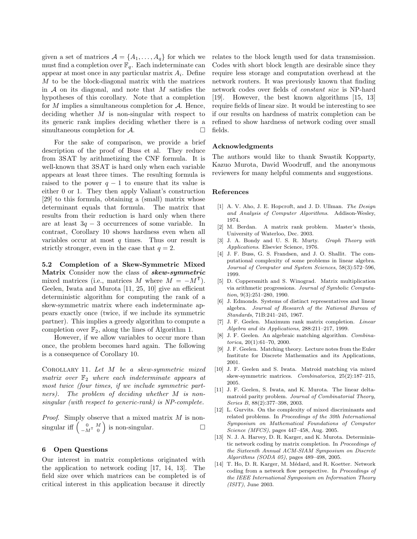given a set of matrices  $\mathcal{A} = \{A_1, \ldots, A_q\}$  for which we must find a completion over  $\mathbb{F}_q$ . Each indeterminate can appear at most once in any particular matrix  $A_i$ . Define M to be the block-diagonal matrix with the matrices in  $A$  on its diagonal, and note that M satisfies the hypotheses of this corollary. Note that a completion for  $M$  implies a simultaneous completion for  $A$ . Hence, deciding whether  $M$  is non-singular with respect to its generic rank implies deciding whether there is a simultaneous completion for  $A$ .

For the sake of comparison, we provide a brief description of the proof of Buss et al. They reduce from 3SAT by arithmetizing the CNF formula. It is well-known that 3SAT is hard only when each variable appears at least three times. The resulting formula is raised to the power  $q - 1$  to ensure that its value is either 0 or 1. They then apply Valiant's construction [29] to this formula, obtaining a (small) matrix whose determinant equals that formula. The matrix that results from their reduction is hard only when there are at least  $3q - 3$  occurrences of some variable. In contrast, Corollary 10 shows hardness even when all variables occur at most  $q$  times. Thus our result is strictly stronger, even in the case that  $q = 2$ .

5.2 Completion of a Skew-Symmetric Mixed Matrix Consider now the class of skew-symmetric mixed matrices (i.e., matrices M where  $M = -M^{T}$ ). Geelen, Iwata and Murota [11, 25, 10] give an efficient deterministic algorithm for computing the rank of a skew-symmetric matrix where each indeterminate appears exactly once (twice, if we include its symmetric partner). This implies a greedy algorithm to compute a completion over  $\mathbb{F}_2$ , along the lines of Algorithm 1.

However, if we allow variables to occur more than once, the problem becomes hard again. The following is a consequence of Corollary 10.

COROLLARY 11. Let  $M$  be a skew-symmetric mixed matrix over  $\mathbb{F}_2$  where each indeterminate appears at most twice (four times, if we include symmetric partners). The problem of deciding whether M is nonsingular (with respect to generic-rank) is NP-complete.

Proof. Simply observe that a mixed matrix M is nonsingular iff  $\begin{pmatrix} 0 & M \\ -M^T & 0 \end{pmatrix}$  is non-singular.

# 6 Open Questions

Our interest in matrix completions originated with the application to network coding [17, 14, 13]. The field size over which matrices can be completed is of critical interest in this application because it directly relates to the block length used for data transmission. Codes with short block length are desirable since they require less storage and computation overhead at the network routers. It was previously known that finding network codes over fields of constant size is NP-hard [19]. However, the best known algorithms [15, 13] require fields of linear size. It would be interesting to see if our results on hardness of matrix completion can be refined to show hardness of network coding over small fields.

#### Acknowledgments

The authors would like to thank Swastik Kopparty, Kazuo Murota, David Woodruff, and the anonymous reviewers for many helpful comments and suggestions.

#### References

- [1] A. V. Aho, J. E. Hopcroft, and J. D. Ullman. The Design and Analysis of Computer Algorithms. Addison-Wesley, 1974.
- [2] M. Berdan. A matrix rank problem. Master's thesis, University of Waterloo, Dec. 2003.
- [3] J. A. Bondy and U. S. R. Murty. *Graph Theory with* Applications. Elsevier Science, 1976.
- [4] J. F. Buss, G. S. Frandsen, and J. O. Shallit. The computational complexity of some problems in linear algebra. Journal of Computer and System Sciences, 58(3):572–596, 1999.
- [5] D. Coppersmith and S. Winograd. Matrix multiplication via arithmetic progressions. Journal of Symbolic Computation, 9(3):251–280, 1990.
- [6] J. Edmonds. Systems of distinct representatives and linear algebra. Journal of Research of the National Bureau of Standards, 71B:241–245, 1967.
- [7] J. F. Geelen. Maximum rank matrix completion. Linear Algebra and its Applications, 288:211–217, 1999.
- [8] J. F. Geelen. An algebraic matching algorithm. Combinatorica, 20(1):61–70, 2000.
- [9] J. F. Geelen. Matching theory. Lecture notes from the Euler Institute for Discrete Mathematics and its Applications, 2001.
- [10] J. F. Geelen and S. Iwata. Matroid matching via mixed skew-symmetric matrices. Combinatorica, 25(2):187–215, 2005.
- [11] J. F. Geelen, S. Iwata, and K. Murota. The linear deltamatroid parity problem. Journal of Combinatorial Theory, Series B, 88(2):377–398, 2003.
- [12] L. Gurvits. On the complexity of mixed discriminants and related problems. In Proceedings of the 30th International Symposium on Mathematical Foundations of Computer Science (MFCS), pages 447–458, Aug. 2005.
- [13] N. J. A. Harvey, D. R. Karger, and K. Murota. Deterministic network coding by matrix completion. In Proceedings of the Sixteenth Annual ACM-SIAM Symposium on Discrete Algorithms (SODA 05), pages 489–498, 2005.
- [14] T. Ho, D. R. Karger, M. Médard, and R. Koetter. Network coding from a network flow perspective. In Proceedings of the IEEE International Symposium on Information Theory  $(ISIT)$ , June 2003.